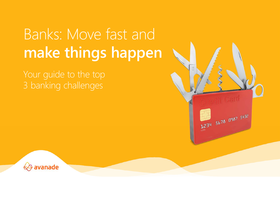# Banks: Move fast and **make things happen**

Your guide to the top 3 banking challenges



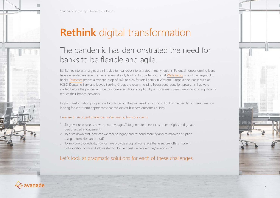

Your guide to the top 3 banking challenges

# **Rethink** digital transformation

### The pandemic has demonstrated the need for banks to be flexible and agile.

Banks' net interest margins are slim, due to near-zero interest rates in many regions. Potential nonperforming loans have generated massive rises in reserves, already leading to quarterly losses at [Wells Fargo](https://www.nytimes.com/2020/07/14/business/wells-fargo-reports-first-quarterly-loss-in-more-than-a-decade.html#:~:text=Wells%20Fargo%20on%20Tuesday%20reported,it%20set%20aside%20last%20quarter.), one of the largest U.S. banks. [Estimates](https://www.mckinsey.com/industries/financial-services/our-insights/reshaping-retail-banking-for-the-next-normal) predict a revenue drop of 16% to 44% for retail banks in Western Europe alone. Banks such as HSBC, Deutsche Bank and Lloyds Banking Group are recommencing headcount reduction programs that were started before the pandemic. Due to accelerated digital adoption by all consumers banks are looking to significantly reduce their branch networks.

Digital transformation programs will continue but they will need rethinking in light of the pandemic. Banks are now looking for short-term approaches that can deliver business outcomes quickly.

### Here are three urgent challenges we're hearing from our clients:

- 1. To grow our business, how can we leverage AI to generate deeper customer insights and greater personalized engagement?
- 2. To drive down cost, how can we reduce legacy and respond more flexibly to market disruption using automation and cloud?
- 3. To improve productivity, how can we provide a digital workplace that is secure, offers modern collaboration tools and allows staff to do their best - wherever they're working?

### Let's look at pragmatic solutions for each of these challenges.

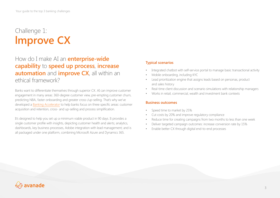### Challenge 1: **lmprove CX**

### How do I make AI an **enterprise-wide capability** to **speed up process**, **increase automation** and **improve CX**, all within an ethical framework?

Banks want to differentiate themselves through superior CX. AI can improve customer engagement in many areas: 360-degree customer view, pre-empting customer churn, predicting NBA, faster onboarding and greater cross-/up-selling. That's why we've developed a [Banking Accelerator](https://www.avanade.com/en/industry/banking/banking-accelerator) to help banks focus on three specific areas: customer acquisition and retention, cross- and up-selling and process simplification.

It's designed to help you set up a minimum viable product in 90 days. It provides a single customer profile with insights, depicting customer health and alerts; analytics, dashboards, key business processes, Adobe integration with lead management; and is all packaged under one platform, combining Microsoft Azure and Dynamics 365.

### **Typical scenarios**

- Integrated chatbot with self-service portal to manage basic transactional activity
- Mobile onboarding, including KYC
- Lead prioritization engine that assigns leads based on personas, product and sales history
- Real-time client discussion and scenario simulations with relationship managers
- Works in retail, commercial, wealth and investment bank contexts

#### **Business outcomes**

- Speed time to market by 25%
- Cut costs by 20% and improve regulatory compliance
- Reduce time for creating campaigns from two months to less than one week
- Deliver targeted campaign outcomes: increase conversion rate by 15%
- Enable better CX through digital end-to-end processes

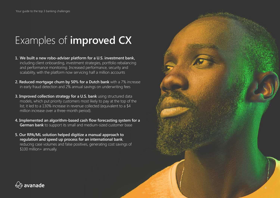# Examples of **improved CX**

- **1. We built a new robo-adviser platform for a U.S. investment bank,** including client onboarding, investment strategies, portfolio rebalancing and performance monitoring. Increased performance, security and scalability, with the platform now servicing half a million accounts
- **2. Reduced mortgage churn by 50% for a Dutch bank** with a 7% increase in early fraud detection and 2% annual savings on underwriting fees
- **3. Improved collection strategy for a U.S. bank** using structured data models, which put priority customers most likely to pay at the top of the list; it led to a 130% increase in revenue collected (equivalent to a \$4 million increase over a three-month period).
- **4. Implemented an algorithm-based cash flow forecasting system for a German bank** to support its small and medium-sized customer base
- **5. Our RPA/ML solution helped digitize a manual approach to regulation and speed up process for an international bank**, reducing case volumes and false positives, generating cost savings of \$100 million+ annually.



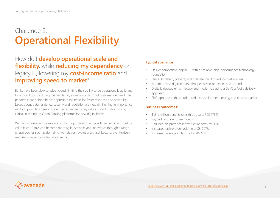### Challenge 2: **Operational Flexibility**

### How do I **develop operational scale and flexibility**, while **reducing my dependency** on legacy IT, lowering my **cost-income ratio** and **improving speed to market**?

Banks have been slow to adopt cloud, limiting their ability to be operationally agile and to respond quickly during the pandemic, especially in terms of customer demand. The pandemic has helped banks appreciate the need for faster response and scalability. Issues about data residency, security and regulation are now diminishing in importance as cloud providers demonstrate their expertise to regulators. Cloud is also proving critical in setting up Open Banking platforms for new digital banks.

With an accelerated migration and cloud optimization approach we help clients get to value faster. Banks can become more agile, scalable, and innovative through a range of approaches such as domain-driven design, evolutionary architecture, event-driven microservices and modern engineering.

### **Typical scenarios**

- Deliver competitive digital CX with a scalable, high-performance technology foundation
- Use AI to detect, prevent, and mitigate fraud to reduce cost and risk
- Automate and digitize manual/paper-based processes end-to-end
- Digitally decouple from legacy and modernize using a DevOps/agile delivery approach
- Shift app dev to the cloud to reduce development, testing and time to market

### **Business outcomes1**

- \$13.1 million benefits over three years; ROI 478%
- Payback in under three months.
- Reduced on-premises infrastructure costs by 90%
- Increased online order volume of 83-167%
- Increased average order size by 20-27%

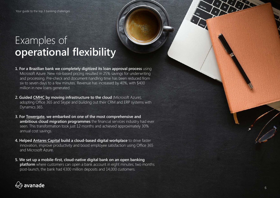Your guide to the top 3 banking challenges

## Examples of **operational flexibility**

- **1. For a Brazilian bank we completely digitized its loan approval process** using Microsoft Azure. New risk-based pricing resulted in 25% savings for underwriting and processing. Pre-check and document handling time has been reduced from six to seven days to a few minutes. Revenue has increased by 40%, with \$400 million in new loans generated.
- **2. Guided [CMHC](https://www.avanade.com/en/clients/cmhc) by moving infrastructure to the cloud** (Microsoft Azure), adopting Office 365 and Skype and building out their CRM and ERP systems with Dynamics 365.
- **3. For [Towergate,](https://www.avanade.com/en/clients/towergate) we embarked on one of the most comprehensive and ambitious cloud migration programmes** the financial services industry had ever seen. This transformation took just 12 months and achieved approximately 30% annual cost savings.
- **4. Helped [Antares Capital](https://www.avanade.com/en/clients/antares-capital) build a cloud-based digital workplace** to drive faster innovation, improve productivity and boost employee satisfaction using Office 365 and Microsoft Azure.
- **5. We set up a mobile-first, cloud-native digital bank on an open banking platform** where customers can open a bank account in eight minutes; two months post-launch, the bank had €300 million deposits and 14,000 customers.

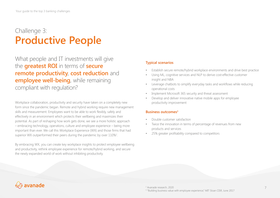### Challenge 3: **Productive People**

What people and IT investments will give the **greatest ROI** in terms of **secure remote productivity**, **cost reduction** and **employee well-being**, while remaining compliant with regulation?

Workplace collaboration, productivity and security have taken on a completely new form since the pandemic began. Remote and hybrid working require new management skills and measurement. Employees want to be able to work flexibly, safely and effectively in an environment which protects their wellbeing and maximizes their potential. As part of reshaping how work gets done, we see a more holistic approach – embracing technology, operations, culture and employee experience – being more important than ever. We call this Workplace Experience (WX) and those firms that had superior WX outperformed their peers during the pandemic by over 110%<sup>2</sup>.

By embracing WX, you can create key workplace insights to protect employee wellbeing and productivity, rethink employee experience for remote/hybrid working, and secure the newly expanded world of work without inhibiting productivity.

### **Typical scenarios**

- Establish secure remote/hybrid workplace environments and drive best practice
- Using ML, cognitive services and NLP to derive cost-effective customer insight and NBA
- Leverage chatbots to simplify everyday tasks and workflows while reducing operational costs
- Implement Microsoft 365 security and threat assessment
- Develop and deliver innovative native mobile apps for employee productivity improvement

### **Business outcomes3**

- Double customer satisfaction
- Twice the innovation in terms of percentage of revenues from new products and services
- 25% greater profitability compared to competitors



2 Avanade research, 2020 <sup>3</sup> "Building business value with employee experience," MIT Sloan CISR, June 2017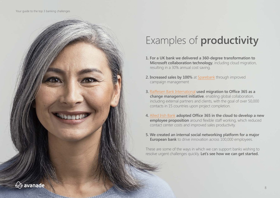

# Examples of **productivity**

- **1. For a UK bank we delivered a 360-degree transformation to Microsoft collaboration technology**, including cloud migration, resulting in a 30% annual cost saving.
- **2. Increased sales by 100%** at [Sparebank](https://www.avanade.com/en/clients/sparebank) through improved campaign management
- **3.** [Raiffeisen Bank International](https://www.avanade.com/en/clients/raiffeisen-bank-international) **used migration to Office 365 as a change management initiative**, enabling global collaboration, including external partners and clients, with the goal of over 50,000 contacts in 15 countries upon project completion.
- **4.** [Allied Irish Bank](https://www.avanade.com/en/clients/allied-irish-bank) **adopted Office 365 in the cloud to develop a new employee proposition** around flexible staff working, which reduced contact center costs and improved sales productivity.
- **5. We created an internal social networking platform for a major European bank** to drive innovation across 100,000 employees.

These are some of the ways in which we can support banks wishing to resolve urgent challenges quickly. **Let's see how we can get started.**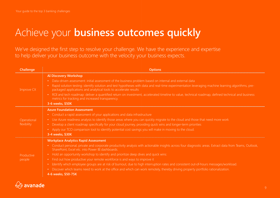# Achieve your **business outcomes quickly**

We've designed the first step to resolve your challenge. We have the experience and expertise to help deliver your business outcome with the velocity your business expects.

| Challenge                  | <b>Options</b>                                                                                                                                                                                                                                                                                                                                                                                                                                                                                                                                                                                                                                                                                                                          |
|----------------------------|-----------------------------------------------------------------------------------------------------------------------------------------------------------------------------------------------------------------------------------------------------------------------------------------------------------------------------------------------------------------------------------------------------------------------------------------------------------------------------------------------------------------------------------------------------------------------------------------------------------------------------------------------------------------------------------------------------------------------------------------|
| Improve CX                 | <b>AI Discovery Workshop</b><br>• Data-driven assessment: initial assessment of the business problem based on internal and external data<br>• Rapid solution testing: identify solution and test hypotheses with data and real-time experimentation leveraging machine learning algorithms, pre-<br>packaged applications and analytical tools to accelerate results<br>• ROI and tech roadmap: deliver a quantified return on investment, accelerated timeline to value, technical roadmap, defined technical and business<br>metrics for tracking and increased transparency.<br>3-6 weeks, \$50K                                                                                                                                     |
| Operational<br>flexibility | <b>Azure Foundation Assessment</b><br>• Conduct a rapid assessment of your applications and data infrastructure<br>• Use Azure readiness analysis to identify those areas where you can quickly migrate to the cloud and those that need more work<br>• Develop a client roadmap specifically for your cloud journey, providing quick wins and longer-term priorities<br>• Apply our TCO comparison tool to identify potential cost savings you will make in moving to the cloud.<br>3-4 weeks, \$30K                                                                                                                                                                                                                                   |
| Productive<br>people       | <b>Workplace Analytics Rapid Assessment</b><br>• Conduct personal, private and corporate productivity analysis with actionable insights across four diagnostic areas. Extract data from Teams, Outlook,<br>SharePoint, Excel etc. into Power BI dashboards.<br>• Hold an opportunity workshop to identify and prioritize deep dives and quick wins:<br>• Find out how productive your remote workforce is and ways to improve it<br>• Identify which employee groups are at risk of burnout, due to high interruption rates and consistent out-of-hours messages/workload.<br>• Discover which teams need to work at the office and which can work remotely, thereby driving property portfolio rationalization.<br>4-6 weeks, \$50-75K |

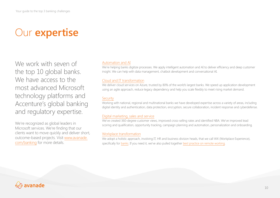# Our **expertise**

We work with seven of the top 10 global banks. We have access to the most advanced Microsoft technology platforms and Accenture's global banking and regulatory expertise.

We're recognized as global leaders in Microsoft services. We're finding that our clients want to move quickly and deliver short, outcome-based projects. Visit [www.avanade.](http://www.avanade.com/banking) [com/banking](http://www.avanade.com/banking) for more details.

### [Automation and AI](https://www.avanade.com/-/media/asset/other/rise-of-intelligent-automation-financial-services-pov.pdf?ver=1&la=en)

We're helping banks digitize processes. We apply intelligent automation and AI to deliver efficiency and deep customer insight. We can help with data management, chatbot development and conversational AI.

### [Cloud and IT transformation](https://www.avanade.com/en/industry/banking/cio-guide-to-legacy-modernization)

We deliver cloud services on Azure, trusted by 80% of the world's largest banks. We speed up application development using an agile approach, reduce legacy dependency and help you scale flexibly to meet rising market demand.

### [Security](https://www.avanade.com/en/solutions/security-service-solutions)

Working with national, regional and multinational banks we have developed expertise across a variety of areas, including digital identity and authentication, data protection, encryption, secure collaboration, incident response and cyberdefense.

### [Digital marketing, sales and service](https://www.avanade.com/en/solutions/customer-experience/sales-and-service)

We've created 360-degree customer views, improved cross-selling rates and identified NBA. We've improved lead scoring and qualification, opportunity tracking, campaign planning and automation, personalization and onboarding.

#### [Workplace transformation](https://www.avanade.com/en/thinking/workplace-experience/retail-banking-guide-to-workplace-experience)

We adopt a holistic approach, involving IT, HR and business division heads, that we call WX (Workplace Experience), specifically for [banks](https://www.avanade.com/en/thinking/workplace-experience/banking-and-insurance-point-of-view). If you need it, we've also pulled together [best practice on remote working.](https://www.avanade.com/en/thinking/covid19-help)

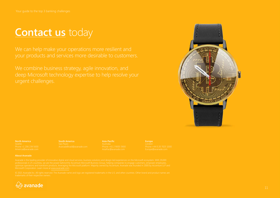### **[Contact us](https://www.avanade.com/en/contact)** today

We combine business strategy, agile innovation, and deep Microsoft technology expertise to help resolve your urgent challenges.



**North America**

**South America**

**Asia-Pacific**

**Europe**

#### **About Avanade**